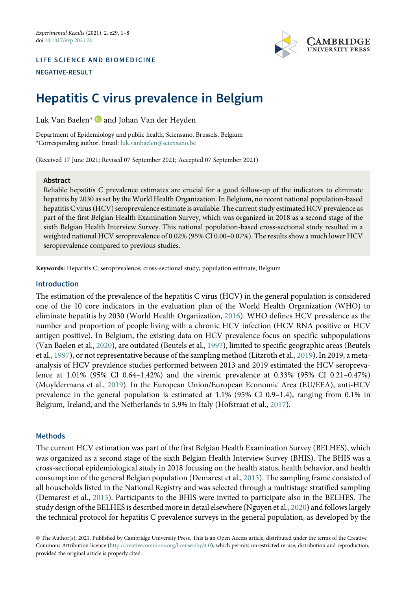

## LIFE SCIENCE AND BIOMEDICINE

NEGATIVE-RESULT

# Hepatitis C virus prevalence in Belgium

Luk Van Baelen<sup>\*</sup> and Johan Van der Heyden

<span id="page-0-0"></span>Department of Epidemiology and public health, Sciensano, Brussels, Belgium \*Corresponding author. Email: [luk.vanbaelen@sciensano.be](mailto:luk.vanbaelen@sciensano.be)

(Received 17 June 2021; Revised 07 September 2021; Accepted 07 September 2021)

#### Abstract

Reliable hepatitis C prevalence estimates are crucial for a good follow-up of the indicators to eliminate hepatitis by 2030 as set by the World Health Organization. In Belgium, no recent national population-based hepatitis C virus (HCV) seroprevalence estimate is available. The current study estimated HCV prevalence as part of the first Belgian Health Examination Survey, which was organized in 2018 as a second stage of the sixth Belgian Health Interview Survey. This national population-based cross-sectional study resulted in a weighted national HCV seroprevalence of 0.02% (95% CI 0.00–0.07%). The results show a much lower HCV seroprevalence compared to previous studies.

Keywords: Hepatitis C; seroprevalence; cross-sectional study; population estimate; Belgium

#### Introduction

The estimation of the prevalence of the hepatitis C virus (HCV) in the general population is considered one of the 10 core indicators in the evaluation plan of the World Health Organization (WHO) to eliminate hepatitis by 2030 (World Health Organization, [2016\)](#page-4-0). WHO defines HCV prevalence as the number and proportion of people living with a chronic HCV infection (HCV RNA positive or HCV antigen positive). In Belgium, the existing data on HCV prevalence focus on specific subpopulations (Van Baelen et al., [2020\)](#page-4-1), are outdated (Beutels et al., [1997](#page-3-0)), limited to specific geographic areas (Beutels et al., [1997\)](#page-3-0), or not representative because of the sampling method (Litzroth et al., [2019\)](#page-4-2). In 2019, a metaanalysis of HCV prevalence studies performed between 2013 and 2019 estimated the HCV seroprevalence at 1.01% (95% CI 0.64–1.42%) and the viremic prevalence at 0.33% (95% CI 0.21–0.47%) (Muyldermans et al., [2019](#page-4-3)). In the European Union/European Economic Area (EU/EEA), anti-HCV prevalence in the general population is estimated at 1.1% (95% CI 0.9–1.4), ranging from 0.1% in Belgium, Ireland, and the Netherlands to 5.9% in Italy (Hofstraat et al., [2017](#page-4-4)).

## **Methods**

The current HCV estimation was part of the first Belgian Health Examination Survey (BELHES), which was organized as a second stage of the sixth Belgian Health Interview Survey (BHIS). The BHIS was a cross-sectional epidemiological study in 2018 focusing on the health status, health behavior, and health consumption of the general Belgian population (Demarest et al., [2013](#page-4-5)). The sampling frame consisted of all households listed in the National Registry and was selected through a multistage stratified sampling (Demarest et al., [2013\)](#page-4-5). Participants to the BHIS were invited to participate also in the BELHES. The study design of the BELHES is described more in detail elsewhere (Nguyen et al., [2020\)](#page-4-6) and follows largely the technical protocol for hepatitis C prevalence surveys in the general population, as developed by the

© The Author(s), 2021. Published by Cambridge University Press. This is an Open Access article, distributed under the terms of the Creative Commons Attribution licence [\(http://creativecommons.org/licenses/by/4.0](http://creativecommons.org/licenses/by/4.0)), which permits unrestricted re-use, distribution and reproduction, provided the original article is properly cited.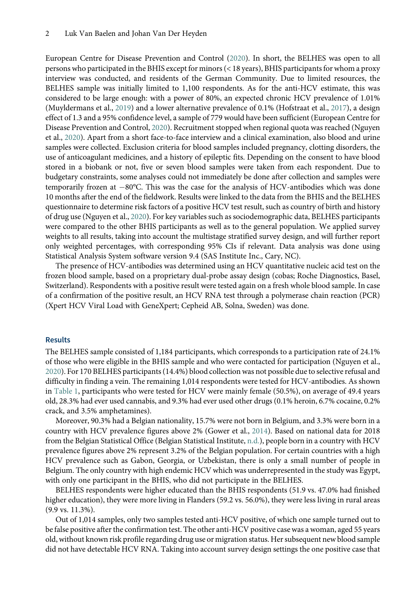European Centre for Disease Prevention and Control [\(2020\)](#page-4-7). In short, the BELHES was open to all persons who participated in the BHIS except for minors (< 18 years), BHIS participants for whom a proxy interview was conducted, and residents of the German Community. Due to limited resources, the BELHES sample was initially limited to 1,100 respondents. As for the anti-HCV estimate, this was considered to be large enough: with a power of 80%, an expected chronic HCV prevalence of 1.01% (Muyldermans et al., [2019](#page-4-3)) and a lower alternative prevalence of 0.1% (Hofstraat et al., [2017](#page-4-4)), a design effect of 1.3 and a 95% confidence level, a sample of 779 would have been sufficient (European Centre for Disease Prevention and Control, [2020](#page-4-7)). Recruitment stopped when regional quota was reached (Nguyen et al., [2020](#page-4-6)). Apart from a short face-to-face interview and a clinical examination, also blood and urine samples were collected. Exclusion criteria for blood samples included pregnancy, clotting disorders, the use of anticoagulant medicines, and a history of epileptic fits. Depending on the consent to have blood stored in a biobank or not, five or seven blood samples were taken from each respondent. Due to budgetary constraints, some analyses could not immediately be done after collection and samples were temporarily frozen at  $-80^{\circ}$ C. This was the case for the analysis of HCV-antibodies which was done 10 months after the end of the fieldwork. Results were linked to the data from the BHIS and the BELHES questionnaire to determine risk factors of a positive HCV test result, such as country of birth and history of drug use (Nguyen et al., [2020\)](#page-4-6). For key variables such as sociodemographic data, BELHES participants were compared to the other BHIS participants as well as to the general population. We applied survey weights to all results, taking into account the multistage stratified survey design, and will further report only weighted percentages, with corresponding 95% CIs if relevant. Data analysis was done using Statistical Analysis System software version 9.4 (SAS Institute Inc., Cary, NC).

The presence of HCV-antibodies was determined using an HCV quantitative nucleic acid test on the frozen blood sample, based on a proprietary dual-probe assay design (cobas; Roche Diagnostics, Basel, Switzerland). Respondents with a positive result were tested again on a fresh whole blood sample. In case of a confirmation of the positive result, an HCV RNA test through a polymerase chain reaction (PCR) (Xpert HCV Viral Load with GeneXpert; Cepheid AB, Solna, Sweden) was done.

## Results

The BELHES sample consisted of 1,184 participants, which corresponds to a participation rate of 24.1% of those who were eligible in the BHIS sample and who were contacted for participation (Nguyen et al., [2020](#page-4-6)). For 170 BELHES participants (14.4%) blood collection was not possible due to selective refusal and difficulty in finding a vein. The remaining 1,014 respondents were tested for HCV-antibodies. As shown in [Table 1,](#page-2-0) participants who were tested for HCV were mainly female (50.5%), on average of 49.4 years old, 28.3% had ever used cannabis, and 9.3% had ever used other drugs (0.1% heroin, 6.7% cocaine, 0.2% crack, and 3.5% amphetamines).

Moreover, 90.3% had a Belgian nationality, 15.7% were not born in Belgium, and 3.3% were born in a country with HCV prevalence figures above 2% (Gower et al., [2014](#page-4-8)). Based on national data for 2018 from the Belgian Statistical Office (Belgian Statistical Institute, [n.d.\)](#page-3-1), people born in a country with HCV prevalence figures above 2% represent 3.2% of the Belgian population. For certain countries with a high HCV prevalence such as Gabon, Georgia, or Uzbekistan, there is only a small number of people in Belgium. The only country with high endemic HCV which was underrepresented in the study was Egypt, with only one participant in the BHIS, who did not participate in the BELHES.

BELHES respondents were higher educated than the BHIS respondents (51.9 vs. 47.0% had finished higher education), they were more living in Flanders (59.2 vs. 56.0%), they were less living in rural areas (9.9 vs. 11.3%).

Out of 1,014 samples, only two samples tested anti-HCV positive, of which one sample turned out to be false positive after the confirmation test. The other anti-HCV positive case was a woman, aged 55 years old, without known risk profile regarding drug use or migration status. Her subsequent new blood sample did not have detectable HCV RNA. Taking into account survey design settings the one positive case that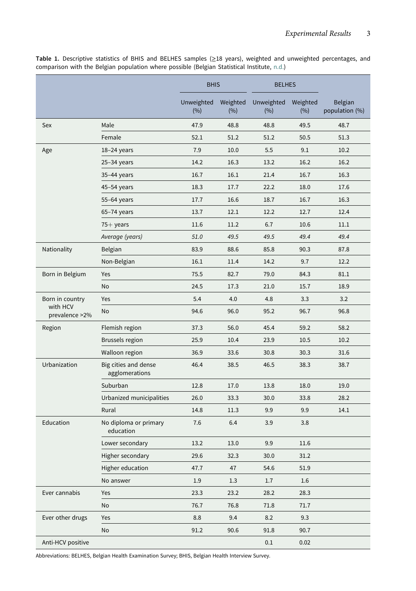BHIS BELHES Unweighted Weighted Belgian Weighted Unweighted (%) (%) (%) population (%) (%) Sex Male 47.9 48.8 48.8 49.5 48.7 Female 52.1 51.2 51.2 50.5 51.3 Age 18–24 years 18–18, 10.0 5.5 9.1 10.2 25-34 years 14.2 16.3 13.2 16.2 16.2 35–44 years 16.7 16.1 21.4 16.7 16.3 45–54 years 18.3 17.7 22.2 18.0 17.6 55–64 years 17.7 16.6 18.7 16.7 16.3 65-74 years 13.7 12.1 12.2 12.7 12.4 75+ years 11.6 11.2 6.7 10.6 11.1 51.0 49.5 49.5 49.4 49.4  $\frac{1}{2}$ ,  $\frac{1}{2}$ ,  $\frac{1}{2}$ Nationality Belgian 83.9 88.6 85.8 90.3 87.8 Non-Belgian 16.1 11.4 14.2 9.7 12.2 Born in Belgium Yes 75.5 82.7 79.0 84.3 81.1 No 24.5 17.3 21.0 15.7 18.9 Born in country Yes 5.4 4.0 4.8 3.3 3.2 with HCV No 94.6 96.0 95.2 96.7 96.8 prevalence >2% Region Flemish region 37.3 56.0 45.4 59.2 58.2 Brussels region 25.9 10.4 23.9 10.5 10.2 Walloon region 36.9 33.6 30.8 30.3 31.6 Urbanization Big cities and dense 46.4 38.5 46.5 38.3 38.7 agglomerations Suburban 12.8 17.0 13.8 18.0 19.0 Urbanized municipalities 26.0 33.3 30.0 33.8 28.2 Rural 14.8 11.3 9.9 9.9 14.1 Education No diploma or primary 7.6 6.4 3.9 3.8 education Lower secondary 13.2 13.0 9.9 11.6 Higher secondary 29.6 32.3 30.0 31.2 Higher education **47.7** 47 47 47 54.6 51.9 No answer 1.9 1.3 1.7 1.6 Ever cannabis Yes 23.3 23.2 28.2 28.3 No 76.7 76.8 71.8 71.7 Ever other drugs Yes 8.8 9.4 8.2 9.3 No 91.2 90.6 91.8 90.7 Anti-HCV positive 0.1 0.02

Table 1. Descriptive statistics of BHIS and BELHES samples (≥18 years), weighted and unweighted percentages, and comparison with the Belgian population where possible (Belgian Statistical Institute, [n.d.\)](#page-3-1)

<span id="page-2-0"></span>Abbreviations: BELHES, Belgian Health Examination Survey; BHIS, Belgian Health Interview Survey.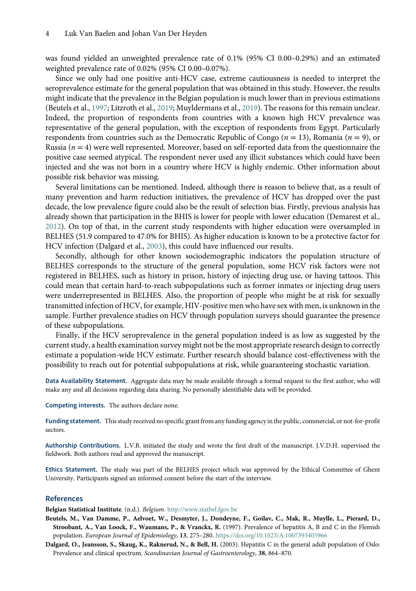was found yielded an unweighted prevalence rate of 0.1% (95% CI 0.00–0.29%) and an estimated weighted prevalence rate of 0.02% (95% CI 0.00–0.07%).

Since we only had one positive anti-HCV case, extreme cautiousness is needed to interpret the seroprevalence estimate for the general population that was obtained in this study. However, the results might indicate that the prevalence in the Belgian population is much lower than in previous estimations (Beutels et al., [1997](#page-3-0); Litzroth et al., [2019](#page-4-2); Muyldermans et al., [2019\)](#page-4-3). The reasons for this remain unclear. Indeed, the proportion of respondents from countries with a known high HCV prevalence was representative of the general population, with the exception of respondents from Egypt. Particularly respondents from countries such as the Democratic Republic of Congo  $(n = 13)$ , Romania  $(n = 9)$ , or Russia ( $n = 4$ ) were well represented. Moreover, based on self-reported data from the questionnaire the positive case seemed atypical. The respondent never used any illicit substances which could have been injected and she was not born in a country where HCV is highly endemic. Other information about possible risk behavior was missing.

Several limitations can be mentioned. Indeed, although there is reason to believe that, as a result of many prevention and harm reduction initiatives, the prevalence of HCV has dropped over the past decade, the low prevalence figure could also be the result of selection bias. Firstly, previous analysis has already shown that participation in the BHIS is lower for people with lower education (Demarest et al., [2012](#page-4-9)). On top of that, in the current study respondents with higher education were oversampled in BELHES (51.9 compared to 47.0% for BHIS). As higher education is known to be a protective factor for HCV infection (Dalgard et al., [2003](#page-3-2)), this could have influenced our results.

Secondly, although for other known sociodemographic indicators the population structure of BELHES corresponds to the structure of the general population, some HCV risk factors were not registered in BELHES, such as history in prison, history of injecting drug use, or having tattoos. This could mean that certain hard-to-reach subpopulations such as former inmates or injecting drug users were underrepresented in BELHES. Also, the proportion of people who might be at risk for sexually transmitted infection of HCV, for example, HIV-positive men who have sex with men, is unknown in the sample. Further prevalence studies on HCV through population surveys should guarantee the presence of these subpopulations.

Finally, if the HCV seroprevalence in the general population indeed is as low as suggested by the current study, a health examination survey might not be the most appropriate research design to correctly estimate a population-wide HCV estimate. Further research should balance cost-effectiveness with the possibility to reach out for potential subpopulations at risk, while guaranteeing stochastic variation.

Data Availability Statement. Aggregate data may be made available through a formal request to the first author, who will make any and all decisions regarding data sharing. No personally identifiable data will be provided.

Competing interests. The authors declare none.

Funding statement. This study received no specific grant from any funding agency in the public, commercial, or not-for-profit sectors.

Authorship Contributions. L.V.B. initiated the study and wrote the first draft of the manuscript. J.V.D.H. supervised the fieldwork. Both authors read and approved the manuscript.

Ethics Statement. The study was part of the BELHES project which was approved by the Ethical Committee of Ghent University. Participants signed an informed consent before the start of the interview.

#### <span id="page-3-1"></span>References

<span id="page-3-0"></span>Belgian Statistical Institute. (n.d.). Belgium. <http://www.statbel.fgov.be>

- Beutels, M., Van Damme, P., Aelvoet, W., Desmyter, J., Dondeyne, F., Goilav, C., Mak, R., Muylle, L., Pierard, D., Stroobant, A., Van Loock, F., Waumans, P., & Vranckx, R. (1997). Prevalence of hepatitis A, B and C in the Flemish population. European Journal of Epidemiology, 13, 275–280. <https://doi.org/10.1023/A:1007393405966>
- <span id="page-3-2"></span>Dalgard, O., Jeansson, S., Skaug, K., Raknerud, N., & Bell, H. (2003). Hepatitis C in the general adult population of Oslo: Prevalence and clinical spectrum. Scandinavian Journal of Gastroenterology, 38, 864–870.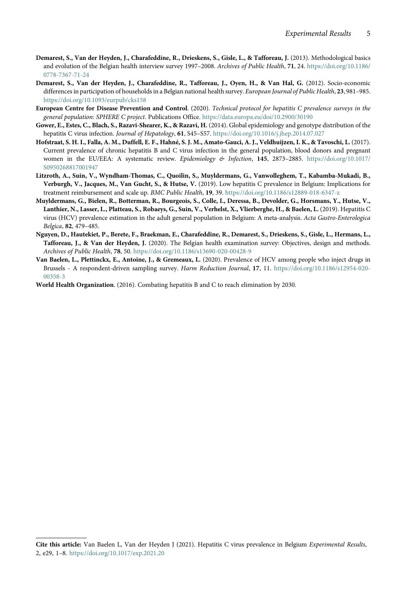- <span id="page-4-5"></span>Demarest, S., Van der Heyden, J., Charafeddine, R., Drieskens, S., Gisle, L., & Tafforeau, J. (2013). Methodological basics and evolution of the Belgian health interview survey 1997–2008. Archives of Public Health, 71, 24. [https://doi.org/10.1186/](https://doi.org/10.1186/0778-7367-71-24) [0778-7367-71-24](https://doi.org/10.1186/0778-7367-71-24)
- <span id="page-4-9"></span>Demarest, S., Van der Heyden, J., Charafeddine, R., Tafforeau, J., Oyen, H., & Van Hal, G. (2012). Socio-economic differences in participation of households in a Belgian national health survey. European Journal of Public Health, 23, 981-985. <https://doi.org/10.1093/eurpub/cks158>
- <span id="page-4-7"></span>European Centre for Disease Prevention and Control. (2020). Technical protocol for hepatitis C prevalence surveys in the general population: SPHERE C project. Publications Office. <https://data.europa.eu/doi/10.2900/30190>
- <span id="page-4-8"></span>Gower, E., Estes, C., Blach, S., Razavi-Shearer, K., & Razavi, H. (2014). Global epidemiology and genotype distribution of the hepatitis C virus infection. Journal of Hepatology, 61, S45–S57. <https://doi.org/10.1016/j.jhep.2014.07.027>
- <span id="page-4-4"></span>Hofstraat, S. H. I., Falla, A. M., Duffell, E. F., Hahné, S. J. M., Amato-Gauci, A. J., Veldhuijzen, I. K., & Tavoschi, L. (2017). Current prevalence of chronic hepatitis B and C virus infection in the general population, blood donors and pregnant women in the EU/EEA: A systematic review. Epidemiology & Infection, 145, 2873-2885. [https://doi.org/10.1017/](https://doi.org/10.1017/S0950268817001947) [S0950268817001947](https://doi.org/10.1017/S0950268817001947)
- <span id="page-4-2"></span>Litzroth, A., Suin, V., Wyndham-Thomas, C., Quoilin, S., Muyldermans, G., Vanwolleghem, T., Kabamba-Mukadi, B., Verburgh, V., Jacques, M., Van Gucht, S., & Hutse, V. (2019). Low hepatitis C prevalence in Belgium: Implications for treatment reimbursement and scale up. BMC Public Health, 19, 39. <https://doi.org/10.1186/s12889-018-6347-z>
- <span id="page-4-3"></span>Muyldermans, G., Bielen, R., Botterman, R., Bourgeois, S., Colle, I., Deressa, B., Devolder, G., Horsmans, Y., Hutse, V., Lanthier, N., Lasser, L., Platteau, S., Robaeys, G., Suin, V., Verhelst, X., Vlierberghe, H., & Baelen, L. (2019). Hepatitis C virus (HCV) prevalence estimation in the adult general population in Belgium: A meta-analysis. Acta Gastro-Enterologica Belgica, 82, 479–485.
- <span id="page-4-6"></span>Nguyen, D., Hautekiet, P., Berete, F., Braekman, E., Charafeddine, R., Demarest, S., Drieskens, S., Gisle, L., Hermans, L., Tafforeau, J., & Van der Heyden, J. (2020). The Belgian health examination survey: Objectives, design and methods. Archives of Public Health, 78, 50. <https://doi.org/10.1186/s13690-020-00428-9>
- <span id="page-4-1"></span>Van Baelen, L., Plettinckx, E., Antoine, J., & Gremeaux, L. (2020). Prevalence of HCV among people who inject drugs in Brussels - A respondent-driven sampling survey. Harm Reduction Journal, 17, 11. [https://doi.org/10.1186/s12954-020-](https://doi.org/10.1186/s12954-020-00358-3) [00358-3](https://doi.org/10.1186/s12954-020-00358-3)

<span id="page-4-0"></span>World Health Organization. (2016). Combating hepatitis B and C to reach elimination by 2030.

Cite this article: Van Baelen L, Van der Heyden J (2021). Hepatitis C virus prevalence in Belgium Experimental Results, 2, e29, 1–8. <https://doi.org/10.1017/exp.2021.20>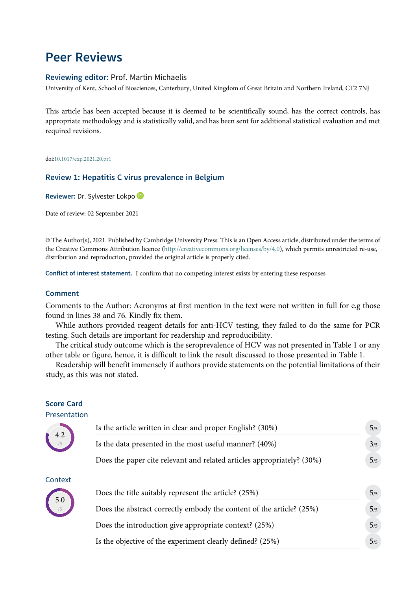## Peer Reviews

## Reviewing editor: Prof. Martin Michaelis

University of Kent, School of Biosciences, Canterbury, United Kingdom of Great Britain and Northern Ireland, CT2 7NJ

This article has been accepted because it is deemed to be scientifically sound, has the correct controls, has appropriate methodology and is statistically valid, and has been sent for additional statistical evaluation and met required revisions.

doi[:10.1017/exp.2021.20.pr1](https://doi.org/10.1017/exp.2021.20.pr1)

## Review 1: Hepatitis C virus prevalence in Belgium

Reviewer: Dr. Sylvester Lokpo

Date of review: 02 September 2021

© The Author(s), 2021. Published by Cambridge University Press. This is an Open Access article, distributed under the terms of the Creative Commons Attribution licence ([http://creativecommons.org/licenses/by/4.0\)](http://creativecommons.org/licenses/by/4.0), which permits unrestricted re-use, distribution and reproduction, provided the original article is properly cited.

Conflict of interest statement. I confirm that no competing interest exists by entering these responses

### Comment

Comments to the Author: Acronyms at first mention in the text were not written in full for e.g those found in lines 38 and 76. Kindly fix them.

While authors provided reagent details for anti-HCV testing, they failed to do the same for PCR testing. Such details are important for readership and reproducibility.

The critical study outcome which is the seroprevalence of HCV was not presented in Table 1 or any other table or figure, hence, it is difficult to link the result discussed to those presented in Table 1.

Readership will benefit immensely if authors provide statements on the potential limitations of their study, as this was not stated.

## Score Card

Presentation

| uı |                                                                        |     |
|----|------------------------------------------------------------------------|-----|
|    | Is the article written in clear and proper English? (30%)              |     |
|    | Is the data presented in the most useful manner? (40%)                 |     |
|    | Does the paper cite relevant and related articles appropriately? (30%) | 5/5 |

### Context

4.2 /5



| Does the title suitably represent the article? (25%)                 | 5/5 |
|----------------------------------------------------------------------|-----|
| Does the abstract correctly embody the content of the article? (25%) | 5/5 |
| Does the introduction give appropriate context? (25%)                | 5/5 |
| Is the objective of the experiment clearly defined? (25%)            | 5/5 |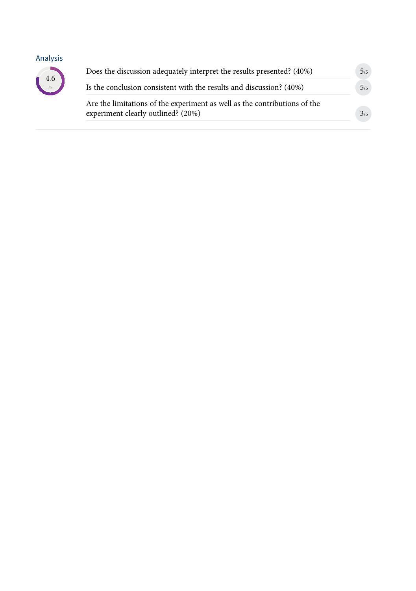## Analysis

4.6 /5

| Does the discussion adequately interpret the results presented? (40%)     | 5/5 |
|---------------------------------------------------------------------------|-----|
| Is the conclusion consistent with the results and discussion? (40%)       | 5/5 |
| Are the limitations of the experiment as well as the contributions of the |     |
| experiment clearly outlined? (20%)                                        | 3/5 |